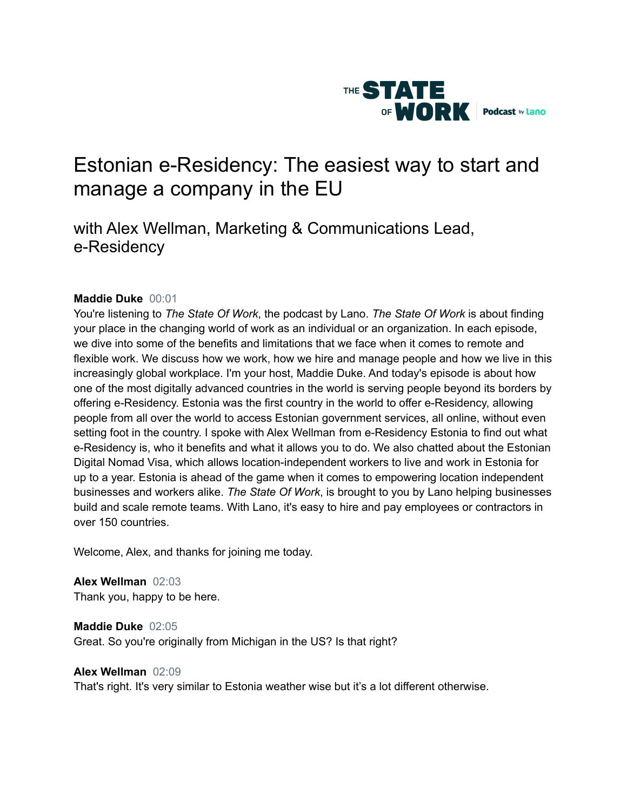

# Estonian e-Residency: The easiest way to start and manage a company in the EU

# with Alex Wellman, Marketing & Communications Lead, e-Residency

# **Maddie Duke** 00:01

You're listening to *The State Of Work*, the podcast by Lano. *The State Of Work* is about finding your place in the changing world of work as an individual or an organization. In each episode, we dive into some of the benefits and limitations that we face when it comes to remote and flexible work. We discuss how we work, how we hire and manage people and how we live in this increasingly global workplace. I'm your host, Maddie Duke. And today's episode is about how one of the most digitally advanced countries in the world is serving people beyond its borders by offering e-Residency. Estonia was the first country in the world to offer e-Residency, allowing people from all over the world to access Estonian government services, all online, without even setting foot in the country. I spoke with Alex Wellman from e-Residency Estonia to find out what e-Residency is, who it benefits and what it allows you to do. We also chatted about the Estonian Digital Nomad Visa, which allows location-independent workers to live and work in Estonia for up to a year. Estonia is ahead of the game when it comes to empowering location independent businesses and workers alike. *The State Of Work*, is brought to you by Lano helping businesses build and scale remote teams. With Lano, it's easy to hire and pay employees or contractors in over 150 countries.

Welcome, Alex, and thanks for joining me today.

**Alex Wellman** 02:03 Thank you, happy to be here.

**Maddie Duke** 02:05 Great. So you're originally from Michigan in the US? Is that right?

# **Alex Wellman** 02:09

That's right. It's very similar to Estonia weather wise but it's a lot different otherwise.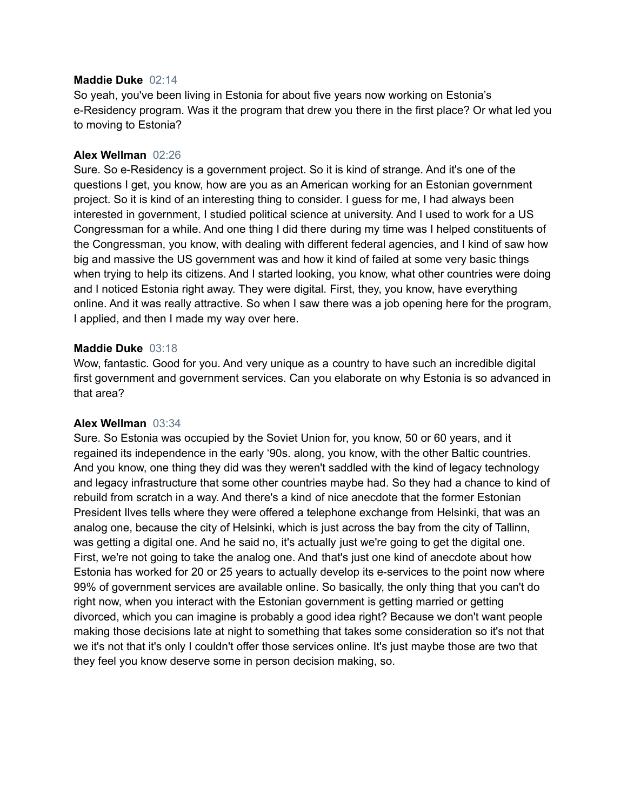#### **Maddie Duke** 02:14

So yeah, you've been living in Estonia for about five years now working on Estonia's e-Residency program. Was it the program that drew you there in the first place? Or what led you to moving to Estonia?

#### **Alex Wellman** 02:26

Sure. So e-Residency is a government project. So it is kind of strange. And it's one of the questions I get, you know, how are you as an American working for an Estonian government project. So it is kind of an interesting thing to consider. I guess for me, I had always been interested in government, I studied political science at university. And I used to work for a US Congressman for a while. And one thing I did there during my time was I helped constituents of the Congressman, you know, with dealing with different federal agencies, and I kind of saw how big and massive the US government was and how it kind of failed at some very basic things when trying to help its citizens. And I started looking, you know, what other countries were doing and I noticed Estonia right away. They were digital. First, they, you know, have everything online. And it was really attractive. So when I saw there was a job opening here for the program, I applied, and then I made my way over here.

# **Maddie Duke** 03:18

Wow, fantastic. Good for you. And very unique as a country to have such an incredible digital first government and government services. Can you elaborate on why Estonia is so advanced in that area?

#### **Alex Wellman** 03:34

Sure. So Estonia was occupied by the Soviet Union for, you know, 50 or 60 years, and it regained its independence in the early '90s. along, you know, with the other Baltic countries. And you know, one thing they did was they weren't saddled with the kind of legacy technology and legacy infrastructure that some other countries maybe had. So they had a chance to kind of rebuild from scratch in a way. And there's a kind of nice anecdote that the former Estonian President Ilves tells where they were offered a telephone exchange from Helsinki, that was an analog one, because the city of Helsinki, which is just across the bay from the city of Tallinn, was getting a digital one. And he said no, it's actually just we're going to get the digital one. First, we're not going to take the analog one. And that's just one kind of anecdote about how Estonia has worked for 20 or 25 years to actually develop its e-services to the point now where 99% of government services are available online. So basically, the only thing that you can't do right now, when you interact with the Estonian government is getting married or getting divorced, which you can imagine is probably a good idea right? Because we don't want people making those decisions late at night to something that takes some consideration so it's not that we it's not that it's only I couldn't offer those services online. It's just maybe those are two that they feel you know deserve some in person decision making, so.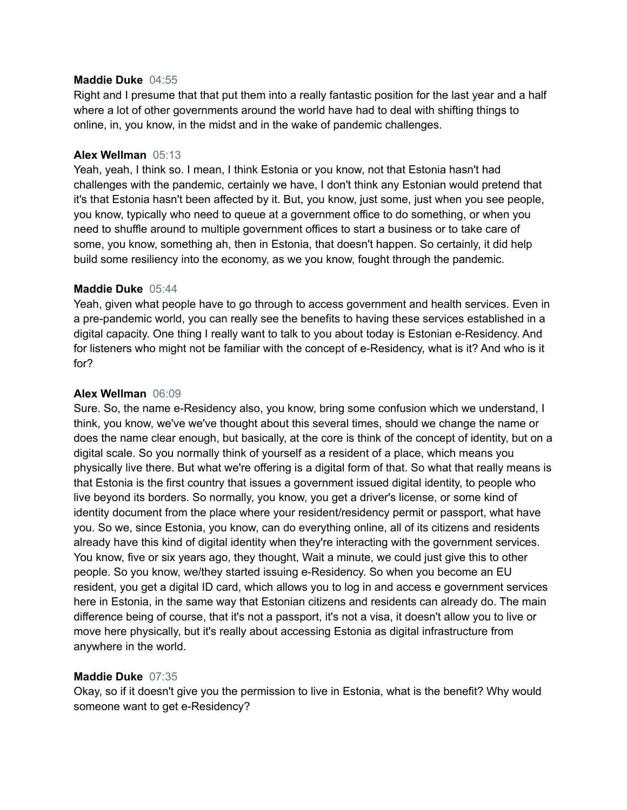# **Maddie Duke** 04:55

Right and I presume that that put them into a really fantastic position for the last year and a half where a lot of other governments around the world have had to deal with shifting things to online, in, you know, in the midst and in the wake of pandemic challenges.

# **Alex Wellman** 05:13

Yeah, yeah, I think so. I mean, I think Estonia or you know, not that Estonia hasn't had challenges with the pandemic, certainly we have, I don't think any Estonian would pretend that it's that Estonia hasn't been affected by it. But, you know, just some, just when you see people, you know, typically who need to queue at a government office to do something, or when you need to shuffle around to multiple government offices to start a business or to take care of some, you know, something ah, then in Estonia, that doesn't happen. So certainly, it did help build some resiliency into the economy, as we you know, fought through the pandemic.

# **Maddie Duke** 05:44

Yeah, given what people have to go through to access government and health services. Even in a pre-pandemic world, you can really see the benefits to having these services established in a digital capacity. One thing I really want to talk to you about today is Estonian e-Residency. And for listeners who might not be familiar with the concept of e-Residency, what is it? And who is it for?

# **Alex Wellman** 06:09

Sure. So, the name e-Residency also, you know, bring some confusion which we understand, I think, you know, we've we've thought about this several times, should we change the name or does the name clear enough, but basically, at the core is think of the concept of identity, but on a digital scale. So you normally think of yourself as a resident of a place, which means you physically live there. But what we're offering is a digital form of that. So what that really means is that Estonia is the first country that issues a government issued digital identity, to people who live beyond its borders. So normally, you know, you get a driver's license, or some kind of identity document from the place where your resident/residency permit or passport, what have you. So we, since Estonia, you know, can do everything online, all of its citizens and residents already have this kind of digital identity when they're interacting with the government services. You know, five or six years ago, they thought, Wait a minute, we could just give this to other people. So you know, we/they started issuing e-Residency. So when you become an EU resident, you get a digital ID card, which allows you to log in and access e government services here in Estonia, in the same way that Estonian citizens and residents can already do. The main difference being of course, that it's not a passport, it's not a visa, it doesn't allow you to live or move here physically, but it's really about accessing Estonia as digital infrastructure from anywhere in the world.

# **Maddie Duke** 07:35

Okay, so if it doesn't give you the permission to live in Estonia, what is the benefit? Why would someone want to get e-Residency?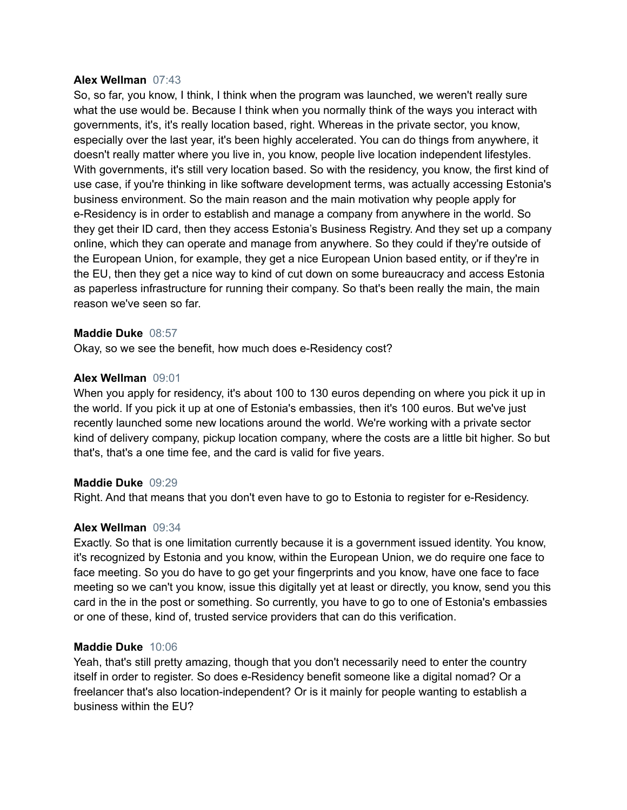#### **Alex Wellman** 07:43

So, so far, you know, I think, I think when the program was launched, we weren't really sure what the use would be. Because I think when you normally think of the ways you interact with governments, it's, it's really location based, right. Whereas in the private sector, you know, especially over the last year, it's been highly accelerated. You can do things from anywhere, it doesn't really matter where you live in, you know, people live location independent lifestyles. With governments, it's still very location based. So with the residency, you know, the first kind of use case, if you're thinking in like software development terms, was actually accessing Estonia's business environment. So the main reason and the main motivation why people apply for e-Residency is in order to establish and manage a company from anywhere in the world. So they get their ID card, then they access Estonia's Business Registry. And they set up a company online, which they can operate and manage from anywhere. So they could if they're outside of the European Union, for example, they get a nice European Union based entity, or if they're in the EU, then they get a nice way to kind of cut down on some bureaucracy and access Estonia as paperless infrastructure for running their company. So that's been really the main, the main reason we've seen so far.

#### **Maddie Duke** 08:57

Okay, so we see the benefit, how much does e-Residency cost?

#### **Alex Wellman** 09:01

When you apply for residency, it's about 100 to 130 euros depending on where you pick it up in the world. If you pick it up at one of Estonia's embassies, then it's 100 euros. But we've just recently launched some new locations around the world. We're working with a private sector kind of delivery company, pickup location company, where the costs are a little bit higher. So but that's, that's a one time fee, and the card is valid for five years.

#### **Maddie Duke** 09:29

Right. And that means that you don't even have to go to Estonia to register for e-Residency.

#### **Alex Wellman** 09:34

Exactly. So that is one limitation currently because it is a government issued identity. You know, it's recognized by Estonia and you know, within the European Union, we do require one face to face meeting. So you do have to go get your fingerprints and you know, have one face to face meeting so we can't you know, issue this digitally yet at least or directly, you know, send you this card in the in the post or something. So currently, you have to go to one of Estonia's embassies or one of these, kind of, trusted service providers that can do this verification.

#### **Maddie Duke** 10:06

Yeah, that's still pretty amazing, though that you don't necessarily need to enter the country itself in order to register. So does e-Residency benefit someone like a digital nomad? Or a freelancer that's also location-independent? Or is it mainly for people wanting to establish a business within the EU?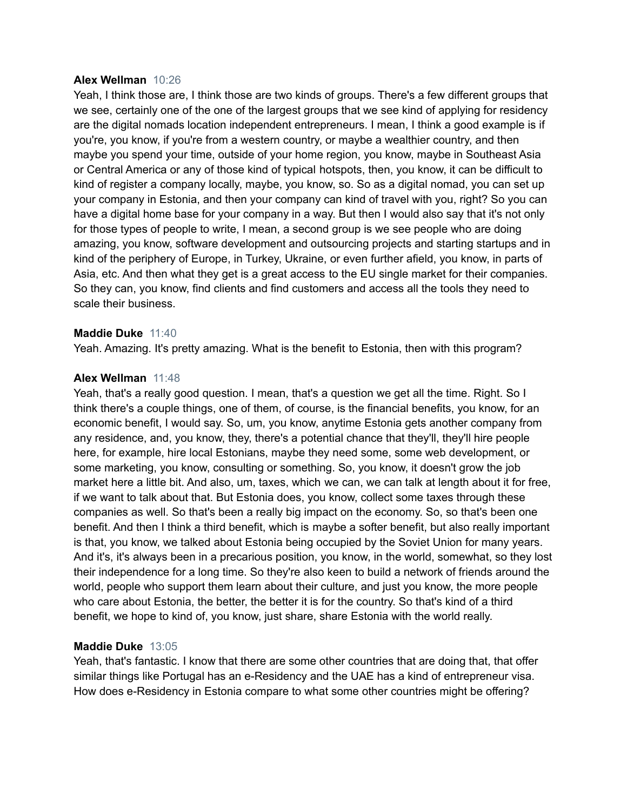#### **Alex Wellman** 10:26

Yeah, I think those are, I think those are two kinds of groups. There's a few different groups that we see, certainly one of the one of the largest groups that we see kind of applying for residency are the digital nomads location independent entrepreneurs. I mean, I think a good example is if you're, you know, if you're from a western country, or maybe a wealthier country, and then maybe you spend your time, outside of your home region, you know, maybe in Southeast Asia or Central America or any of those kind of typical hotspots, then, you know, it can be difficult to kind of register a company locally, maybe, you know, so. So as a digital nomad, you can set up your company in Estonia, and then your company can kind of travel with you, right? So you can have a digital home base for your company in a way. But then I would also say that it's not only for those types of people to write, I mean, a second group is we see people who are doing amazing, you know, software development and outsourcing projects and starting startups and in kind of the periphery of Europe, in Turkey, Ukraine, or even further afield, you know, in parts of Asia, etc. And then what they get is a great access to the EU single market for their companies. So they can, you know, find clients and find customers and access all the tools they need to scale their business.

#### **Maddie Duke** 11:40

Yeah. Amazing. It's pretty amazing. What is the benefit to Estonia, then with this program?

#### **Alex Wellman** 11:48

Yeah, that's a really good question. I mean, that's a question we get all the time. Right. So I think there's a couple things, one of them, of course, is the financial benefits, you know, for an economic benefit, I would say. So, um, you know, anytime Estonia gets another company from any residence, and, you know, they, there's a potential chance that they'll, they'll hire people here, for example, hire local Estonians, maybe they need some, some web development, or some marketing, you know, consulting or something. So, you know, it doesn't grow the job market here a little bit. And also, um, taxes, which we can, we can talk at length about it for free, if we want to talk about that. But Estonia does, you know, collect some taxes through these companies as well. So that's been a really big impact on the economy. So, so that's been one benefit. And then I think a third benefit, which is maybe a softer benefit, but also really important is that, you know, we talked about Estonia being occupied by the Soviet Union for many years. And it's, it's always been in a precarious position, you know, in the world, somewhat, so they lost their independence for a long time. So they're also keen to build a network of friends around the world, people who support them learn about their culture, and just you know, the more people who care about Estonia, the better, the better it is for the country. So that's kind of a third benefit, we hope to kind of, you know, just share, share Estonia with the world really.

#### **Maddie Duke** 13:05

Yeah, that's fantastic. I know that there are some other countries that are doing that, that offer similar things like Portugal has an e-Residency and the UAE has a kind of entrepreneur visa. How does e-Residency in Estonia compare to what some other countries might be offering?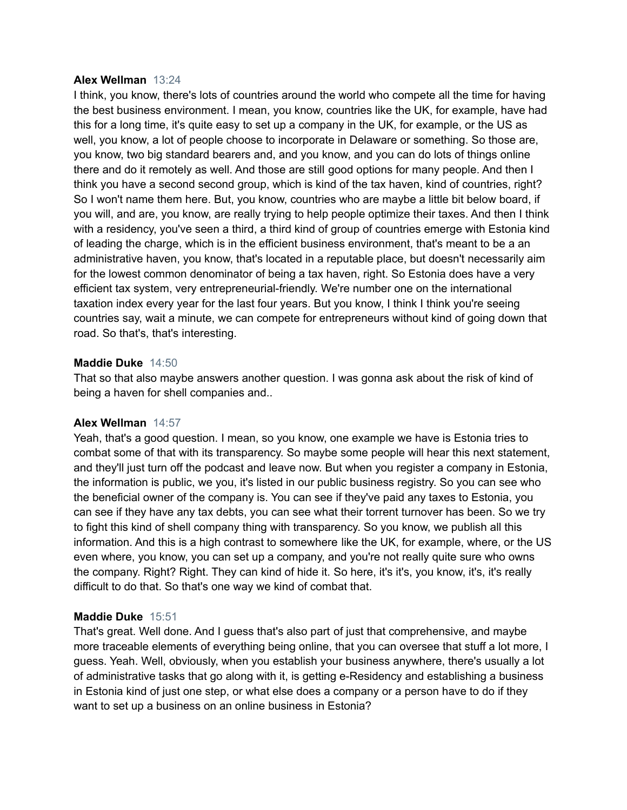#### **Alex Wellman** 13:24

I think, you know, there's lots of countries around the world who compete all the time for having the best business environment. I mean, you know, countries like the UK, for example, have had this for a long time, it's quite easy to set up a company in the UK, for example, or the US as well, you know, a lot of people choose to incorporate in Delaware or something. So those are, you know, two big standard bearers and, and you know, and you can do lots of things online there and do it remotely as well. And those are still good options for many people. And then I think you have a second second group, which is kind of the tax haven, kind of countries, right? So I won't name them here. But, you know, countries who are maybe a little bit below board, if you will, and are, you know, are really trying to help people optimize their taxes. And then I think with a residency, you've seen a third, a third kind of group of countries emerge with Estonia kind of leading the charge, which is in the efficient business environment, that's meant to be a an administrative haven, you know, that's located in a reputable place, but doesn't necessarily aim for the lowest common denominator of being a tax haven, right. So Estonia does have a very efficient tax system, very entrepreneurial-friendly. We're number one on the international taxation index every year for the last four years. But you know, I think I think you're seeing countries say, wait a minute, we can compete for entrepreneurs without kind of going down that road. So that's, that's interesting.

# **Maddie Duke** 14:50

That so that also maybe answers another question. I was gonna ask about the risk of kind of being a haven for shell companies and..

# **Alex Wellman** 14:57

Yeah, that's a good question. I mean, so you know, one example we have is Estonia tries to combat some of that with its transparency. So maybe some people will hear this next statement, and they'll just turn off the podcast and leave now. But when you register a company in Estonia, the information is public, we you, it's listed in our public business registry. So you can see who the beneficial owner of the company is. You can see if they've paid any taxes to Estonia, you can see if they have any tax debts, you can see what their torrent turnover has been. So we try to fight this kind of shell company thing with transparency. So you know, we publish all this information. And this is a high contrast to somewhere like the UK, for example, where, or the US even where, you know, you can set up a company, and you're not really quite sure who owns the company. Right? Right. They can kind of hide it. So here, it's it's, you know, it's, it's really difficult to do that. So that's one way we kind of combat that.

# **Maddie Duke** 15:51

That's great. Well done. And I guess that's also part of just that comprehensive, and maybe more traceable elements of everything being online, that you can oversee that stuff a lot more, I guess. Yeah. Well, obviously, when you establish your business anywhere, there's usually a lot of administrative tasks that go along with it, is getting e-Residency and establishing a business in Estonia kind of just one step, or what else does a company or a person have to do if they want to set up a business on an online business in Estonia?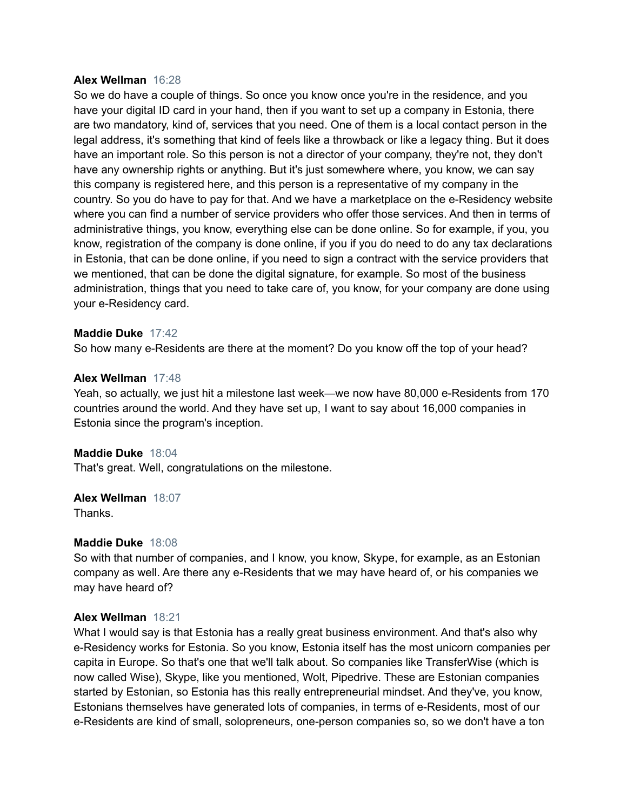#### **Alex Wellman** 16:28

So we do have a couple of things. So once you know once you're in the residence, and you have your digital ID card in your hand, then if you want to set up a company in Estonia, there are two mandatory, kind of, services that you need. One of them is a local contact person in the legal address, it's something that kind of feels like a throwback or like a legacy thing. But it does have an important role. So this person is not a director of your company, they're not, they don't have any ownership rights or anything. But it's just somewhere where, you know, we can say this company is registered here, and this person is a representative of my company in the country. So you do have to pay for that. And we have a marketplace on the e-Residency website where you can find a number of service providers who offer those services. And then in terms of administrative things, you know, everything else can be done online. So for example, if you, you know, registration of the company is done online, if you if you do need to do any tax declarations in Estonia, that can be done online, if you need to sign a contract with the service providers that we mentioned, that can be done the digital signature, for example. So most of the business administration, things that you need to take care of, you know, for your company are done using your e-Residency card.

#### **Maddie Duke** 17:42

So how many e-Residents are there at the moment? Do you know off the top of your head?

# **Alex Wellman** 17:48

Yeah, so actually, we just hit a milestone last week—we now have 80,000 e-Residents from 170 countries around the world. And they have set up, I want to say about 16,000 companies in Estonia since the program's inception.

#### **Maddie Duke** 18:04

That's great. Well, congratulations on the milestone.

# **Alex Wellman** 18:07

Thanks.

#### **Maddie Duke** 18:08

So with that number of companies, and I know, you know, Skype, for example, as an Estonian company as well. Are there any e-Residents that we may have heard of, or his companies we may have heard of?

#### **Alex Wellman** 18:21

What I would say is that Estonia has a really great business environment. And that's also why e-Residency works for Estonia. So you know, Estonia itself has the most unicorn companies per capita in Europe. So that's one that we'll talk about. So companies like TransferWise (which is now called Wise), Skype, like you mentioned, Wolt, Pipedrive. These are Estonian companies started by Estonian, so Estonia has this really entrepreneurial mindset. And they've, you know, Estonians themselves have generated lots of companies, in terms of e-Residents, most of our e-Residents are kind of small, solopreneurs, one-person companies so, so we don't have a ton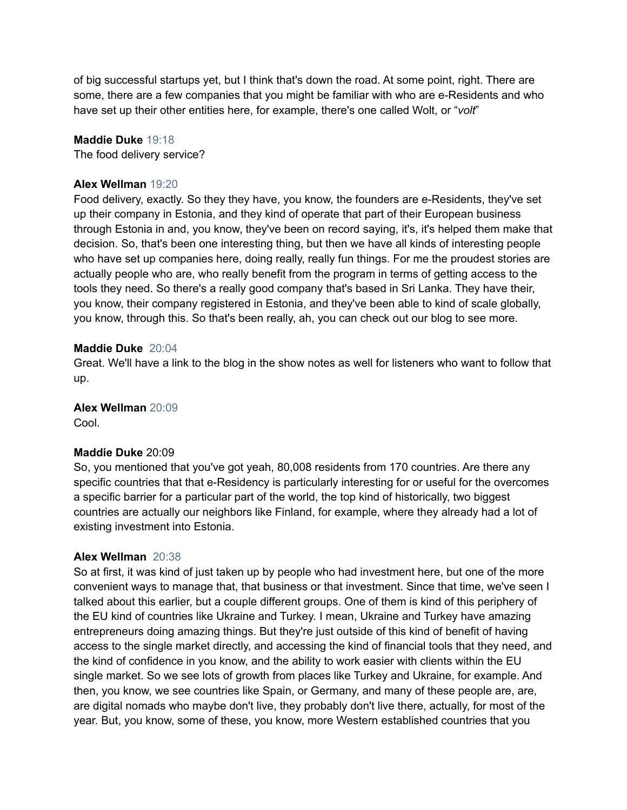of big successful startups yet, but I think that's down the road. At some point, right. There are some, there are a few companies that you might be familiar with who are e-Residents and who have set up their other entities here, for example, there's one called Wolt, or "*volt*"

# **Maddie Duke** 19:18

The food delivery service?

# **Alex Wellman** 19:20

Food delivery, exactly. So they they have, you know, the founders are e-Residents, they've set up their company in Estonia, and they kind of operate that part of their European business through Estonia in and, you know, they've been on record saying, it's, it's helped them make that decision. So, that's been one interesting thing, but then we have all kinds of interesting people who have set up companies here, doing really, really fun things. For me the proudest stories are actually people who are, who really benefit from the program in terms of getting access to the tools they need. So there's a really good company that's based in Sri Lanka. They have their, you know, their company registered in Estonia, and they've been able to kind of scale globally, you know, through this. So that's been really, ah, you can check out our blog to see more.

# **Maddie Duke** 20:04

Great. We'll have a link to the blog in the show notes as well for listeners who want to follow that up.

**Alex Wellman** 20:09

Cool.

# **Maddie Duke** 20:09

So, you mentioned that you've got yeah, 80,008 residents from 170 countries. Are there any specific countries that that e-Residency is particularly interesting for or useful for the overcomes a specific barrier for a particular part of the world, the top kind of historically, two biggest countries are actually our neighbors like Finland, for example, where they already had a lot of existing investment into Estonia.

# **Alex Wellman** 20:38

So at first, it was kind of just taken up by people who had investment here, but one of the more convenient ways to manage that, that business or that investment. Since that time, we've seen I talked about this earlier, but a couple different groups. One of them is kind of this periphery of the EU kind of countries like Ukraine and Turkey. I mean, Ukraine and Turkey have amazing entrepreneurs doing amazing things. But they're just outside of this kind of benefit of having access to the single market directly, and accessing the kind of financial tools that they need, and the kind of confidence in you know, and the ability to work easier with clients within the EU single market. So we see lots of growth from places like Turkey and Ukraine, for example. And then, you know, we see countries like Spain, or Germany, and many of these people are, are, are digital nomads who maybe don't live, they probably don't live there, actually, for most of the year. But, you know, some of these, you know, more Western established countries that you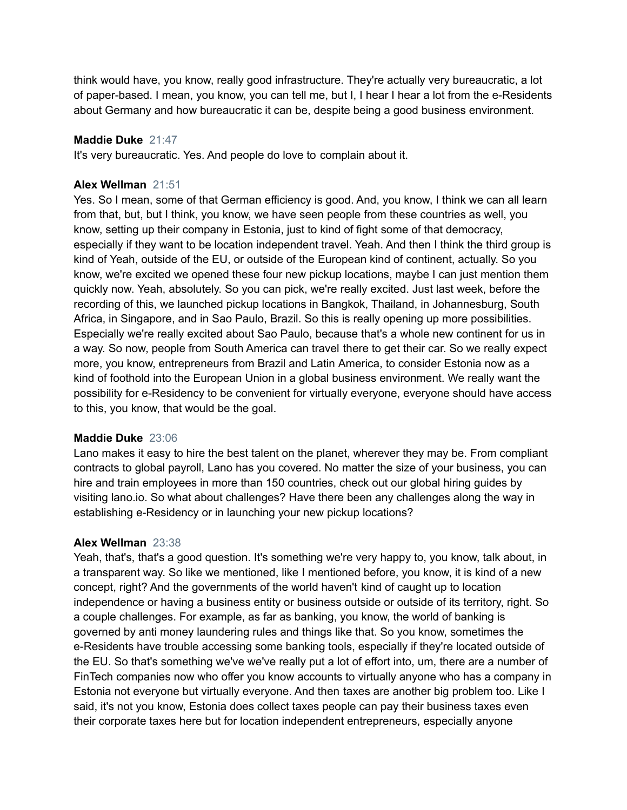think would have, you know, really good infrastructure. They're actually very bureaucratic, a lot of paper-based. I mean, you know, you can tell me, but I, I hear I hear a lot from the e-Residents about Germany and how bureaucratic it can be, despite being a good business environment.

# **Maddie Duke** 21:47

It's very bureaucratic. Yes. And people do love to complain about it.

# **Alex Wellman** 21:51

Yes. So I mean, some of that German efficiency is good. And, you know, I think we can all learn from that, but, but I think, you know, we have seen people from these countries as well, you know, setting up their company in Estonia, just to kind of fight some of that democracy, especially if they want to be location independent travel. Yeah. And then I think the third group is kind of Yeah, outside of the EU, or outside of the European kind of continent, actually. So you know, we're excited we opened these four new pickup locations, maybe I can just mention them quickly now. Yeah, absolutely. So you can pick, we're really excited. Just last week, before the recording of this, we launched pickup locations in Bangkok, Thailand, in Johannesburg, South Africa, in Singapore, and in Sao Paulo, Brazil. So this is really opening up more possibilities. Especially we're really excited about Sao Paulo, because that's a whole new continent for us in a way. So now, people from South America can travel there to get their car. So we really expect more, you know, entrepreneurs from Brazil and Latin America, to consider Estonia now as a kind of foothold into the European Union in a global business environment. We really want the possibility for e-Residency to be convenient for virtually everyone, everyone should have access to this, you know, that would be the goal.

#### **Maddie Duke** 23:06

Lano makes it easy to hire the best talent on the planet, wherever they may be. From compliant contracts to global payroll, Lano has you covered. No matter the size of your business, you can hire and train employees in more than 150 countries, check out our global hiring guides by visiting lano.io. So what about challenges? Have there been any challenges along the way in establishing e-Residency or in launching your new pickup locations?

#### **Alex Wellman** 23:38

Yeah, that's, that's a good question. It's something we're very happy to, you know, talk about, in a transparent way. So like we mentioned, like I mentioned before, you know, it is kind of a new concept, right? And the governments of the world haven't kind of caught up to location independence or having a business entity or business outside or outside of its territory, right. So a couple challenges. For example, as far as banking, you know, the world of banking is governed by anti money laundering rules and things like that. So you know, sometimes the e-Residents have trouble accessing some banking tools, especially if they're located outside of the EU. So that's something we've we've really put a lot of effort into, um, there are a number of FinTech companies now who offer you know accounts to virtually anyone who has a company in Estonia not everyone but virtually everyone. And then taxes are another big problem too. Like I said, it's not you know, Estonia does collect taxes people can pay their business taxes even their corporate taxes here but for location independent entrepreneurs, especially anyone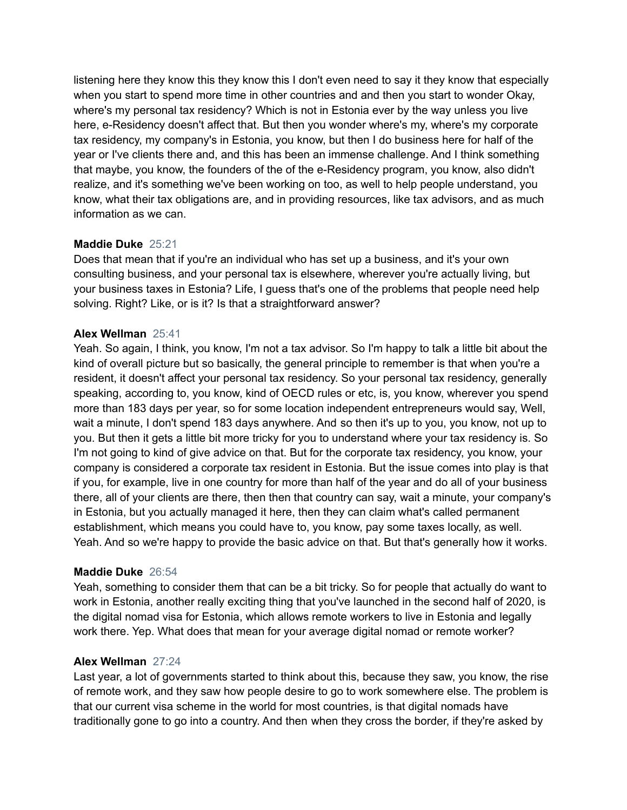listening here they know this they know this I don't even need to say it they know that especially when you start to spend more time in other countries and and then you start to wonder Okay, where's my personal tax residency? Which is not in Estonia ever by the way unless you live here, e-Residency doesn't affect that. But then you wonder where's my, where's my corporate tax residency, my company's in Estonia, you know, but then I do business here for half of the year or I've clients there and, and this has been an immense challenge. And I think something that maybe, you know, the founders of the of the e-Residency program, you know, also didn't realize, and it's something we've been working on too, as well to help people understand, you know, what their tax obligations are, and in providing resources, like tax advisors, and as much information as we can.

# **Maddie Duke** 25:21

Does that mean that if you're an individual who has set up a business, and it's your own consulting business, and your personal tax is elsewhere, wherever you're actually living, but your business taxes in Estonia? Life, I guess that's one of the problems that people need help solving. Right? Like, or is it? Is that a straightforward answer?

# **Alex Wellman** 25:41

Yeah. So again, I think, you know, I'm not a tax advisor. So I'm happy to talk a little bit about the kind of overall picture but so basically, the general principle to remember is that when you're a resident, it doesn't affect your personal tax residency. So your personal tax residency, generally speaking, according to, you know, kind of OECD rules or etc, is, you know, wherever you spend more than 183 days per year, so for some location independent entrepreneurs would say, Well, wait a minute, I don't spend 183 days anywhere. And so then it's up to you, you know, not up to you. But then it gets a little bit more tricky for you to understand where your tax residency is. So I'm not going to kind of give advice on that. But for the corporate tax residency, you know, your company is considered a corporate tax resident in Estonia. But the issue comes into play is that if you, for example, live in one country for more than half of the year and do all of your business there, all of your clients are there, then then that country can say, wait a minute, your company's in Estonia, but you actually managed it here, then they can claim what's called permanent establishment, which means you could have to, you know, pay some taxes locally, as well. Yeah. And so we're happy to provide the basic advice on that. But that's generally how it works.

#### **Maddie Duke** 26:54

Yeah, something to consider them that can be a bit tricky. So for people that actually do want to work in Estonia, another really exciting thing that you've launched in the second half of 2020, is the digital nomad visa for Estonia, which allows remote workers to live in Estonia and legally work there. Yep. What does that mean for your average digital nomad or remote worker?

#### **Alex Wellman** 27:24

Last year, a lot of governments started to think about this, because they saw, you know, the rise of remote work, and they saw how people desire to go to work somewhere else. The problem is that our current visa scheme in the world for most countries, is that digital nomads have traditionally gone to go into a country. And then when they cross the border, if they're asked by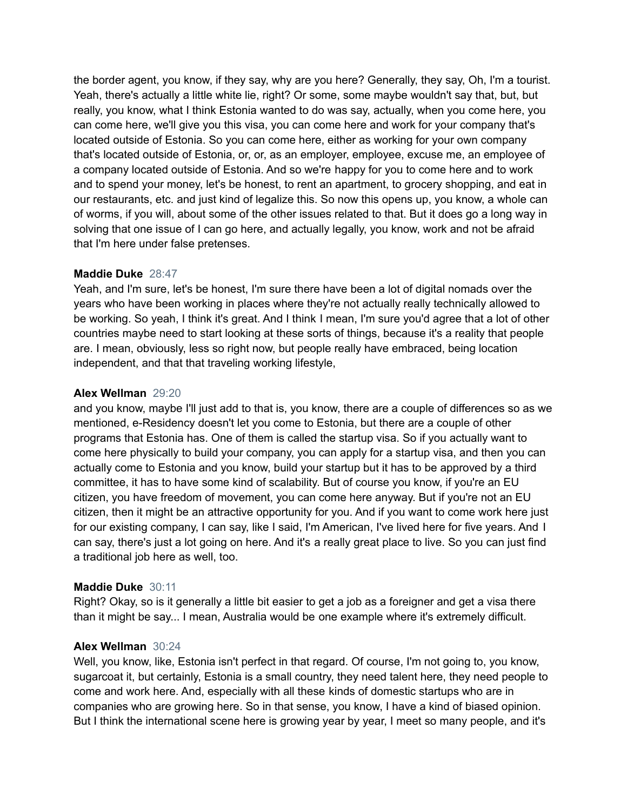the border agent, you know, if they say, why are you here? Generally, they say, Oh, I'm a tourist. Yeah, there's actually a little white lie, right? Or some, some maybe wouldn't say that, but, but really, you know, what I think Estonia wanted to do was say, actually, when you come here, you can come here, we'll give you this visa, you can come here and work for your company that's located outside of Estonia. So you can come here, either as working for your own company that's located outside of Estonia, or, or, as an employer, employee, excuse me, an employee of a company located outside of Estonia. And so we're happy for you to come here and to work and to spend your money, let's be honest, to rent an apartment, to grocery shopping, and eat in our restaurants, etc. and just kind of legalize this. So now this opens up, you know, a whole can of worms, if you will, about some of the other issues related to that. But it does go a long way in solving that one issue of I can go here, and actually legally, you know, work and not be afraid that I'm here under false pretenses.

# **Maddie Duke** 28:47

Yeah, and I'm sure, let's be honest, I'm sure there have been a lot of digital nomads over the years who have been working in places where they're not actually really technically allowed to be working. So yeah, I think it's great. And I think I mean, I'm sure you'd agree that a lot of other countries maybe need to start looking at these sorts of things, because it's a reality that people are. I mean, obviously, less so right now, but people really have embraced, being location independent, and that that traveling working lifestyle,

# **Alex Wellman** 29:20

and you know, maybe I'll just add to that is, you know, there are a couple of differences so as we mentioned, e-Residency doesn't let you come to Estonia, but there are a couple of other programs that Estonia has. One of them is called the startup visa. So if you actually want to come here physically to build your company, you can apply for a startup visa, and then you can actually come to Estonia and you know, build your startup but it has to be approved by a third committee, it has to have some kind of scalability. But of course you know, if you're an EU citizen, you have freedom of movement, you can come here anyway. But if you're not an EU citizen, then it might be an attractive opportunity for you. And if you want to come work here just for our existing company, I can say, like I said, I'm American, I've lived here for five years. And I can say, there's just a lot going on here. And it's a really great place to live. So you can just find a traditional job here as well, too.

# **Maddie Duke** 30:11

Right? Okay, so is it generally a little bit easier to get a job as a foreigner and get a visa there than it might be say... I mean, Australia would be one example where it's extremely difficult.

#### **Alex Wellman** 30:24

Well, you know, like, Estonia isn't perfect in that regard. Of course, I'm not going to, you know, sugarcoat it, but certainly, Estonia is a small country, they need talent here, they need people to come and work here. And, especially with all these kinds of domestic startups who are in companies who are growing here. So in that sense, you know, I have a kind of biased opinion. But I think the international scene here is growing year by year, I meet so many people, and it's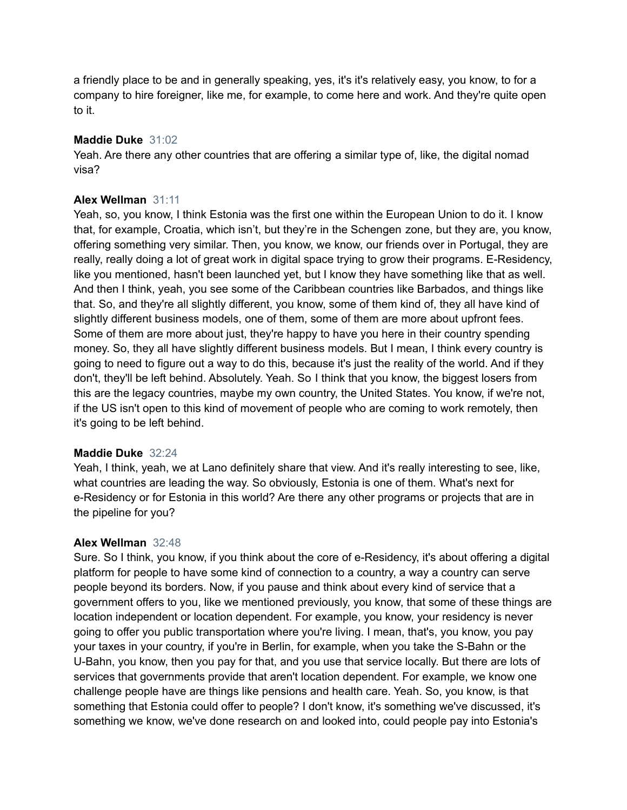a friendly place to be and in generally speaking, yes, it's it's relatively easy, you know, to for a company to hire foreigner, like me, for example, to come here and work. And they're quite open to it.

# **Maddie Duke** 31:02

Yeah. Are there any other countries that are offering a similar type of, like, the digital nomad visa?

# **Alex Wellman** 31:11

Yeah, so, you know, I think Estonia was the first one within the European Union to do it. I know that, for example, Croatia, which isn't, but they're in the Schengen zone, but they are, you know, offering something very similar. Then, you know, we know, our friends over in Portugal, they are really, really doing a lot of great work in digital space trying to grow their programs. E-Residency, like you mentioned, hasn't been launched yet, but I know they have something like that as well. And then I think, yeah, you see some of the Caribbean countries like Barbados, and things like that. So, and they're all slightly different, you know, some of them kind of, they all have kind of slightly different business models, one of them, some of them are more about upfront fees. Some of them are more about just, they're happy to have you here in their country spending money. So, they all have slightly different business models. But I mean, I think every country is going to need to figure out a way to do this, because it's just the reality of the world. And if they don't, they'll be left behind. Absolutely. Yeah. So I think that you know, the biggest losers from this are the legacy countries, maybe my own country, the United States. You know, if we're not, if the US isn't open to this kind of movement of people who are coming to work remotely, then it's going to be left behind.

# **Maddie Duke** 32:24

Yeah, I think, yeah, we at Lano definitely share that view. And it's really interesting to see, like, what countries are leading the way. So obviously, Estonia is one of them. What's next for e-Residency or for Estonia in this world? Are there any other programs or projects that are in the pipeline for you?

#### **Alex Wellman** 32:48

Sure. So I think, you know, if you think about the core of e-Residency, it's about offering a digital platform for people to have some kind of connection to a country, a way a country can serve people beyond its borders. Now, if you pause and think about every kind of service that a government offers to you, like we mentioned previously, you know, that some of these things are location independent or location dependent. For example, you know, your residency is never going to offer you public transportation where you're living. I mean, that's, you know, you pay your taxes in your country, if you're in Berlin, for example, when you take the S-Bahn or the U-Bahn, you know, then you pay for that, and you use that service locally. But there are lots of services that governments provide that aren't location dependent. For example, we know one challenge people have are things like pensions and health care. Yeah. So, you know, is that something that Estonia could offer to people? I don't know, it's something we've discussed, it's something we know, we've done research on and looked into, could people pay into Estonia's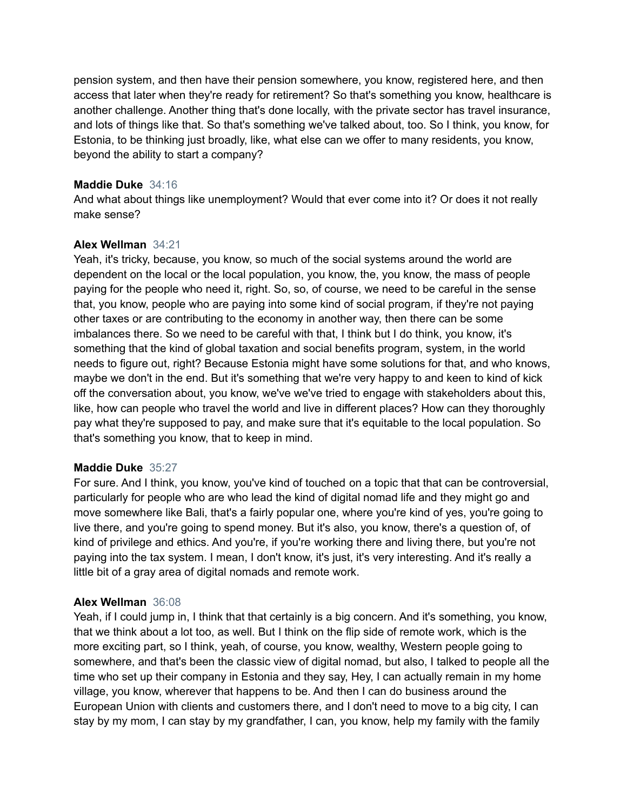pension system, and then have their pension somewhere, you know, registered here, and then access that later when they're ready for retirement? So that's something you know, healthcare is another challenge. Another thing that's done locally, with the private sector has travel insurance, and lots of things like that. So that's something we've talked about, too. So I think, you know, for Estonia, to be thinking just broadly, like, what else can we offer to many residents, you know, beyond the ability to start a company?

# **Maddie Duke** 34:16

And what about things like unemployment? Would that ever come into it? Or does it not really make sense?

# **Alex Wellman** 34:21

Yeah, it's tricky, because, you know, so much of the social systems around the world are dependent on the local or the local population, you know, the, you know, the mass of people paying for the people who need it, right. So, so, of course, we need to be careful in the sense that, you know, people who are paying into some kind of social program, if they're not paying other taxes or are contributing to the economy in another way, then there can be some imbalances there. So we need to be careful with that, I think but I do think, you know, it's something that the kind of global taxation and social benefits program, system, in the world needs to figure out, right? Because Estonia might have some solutions for that, and who knows, maybe we don't in the end. But it's something that we're very happy to and keen to kind of kick off the conversation about, you know, we've we've tried to engage with stakeholders about this, like, how can people who travel the world and live in different places? How can they thoroughly pay what they're supposed to pay, and make sure that it's equitable to the local population. So that's something you know, that to keep in mind.

#### **Maddie Duke** 35:27

For sure. And I think, you know, you've kind of touched on a topic that that can be controversial, particularly for people who are who lead the kind of digital nomad life and they might go and move somewhere like Bali, that's a fairly popular one, where you're kind of yes, you're going to live there, and you're going to spend money. But it's also, you know, there's a question of, of kind of privilege and ethics. And you're, if you're working there and living there, but you're not paying into the tax system. I mean, I don't know, it's just, it's very interesting. And it's really a little bit of a gray area of digital nomads and remote work.

#### **Alex Wellman** 36:08

Yeah, if I could jump in, I think that that certainly is a big concern. And it's something, you know, that we think about a lot too, as well. But I think on the flip side of remote work, which is the more exciting part, so I think, yeah, of course, you know, wealthy, Western people going to somewhere, and that's been the classic view of digital nomad, but also, I talked to people all the time who set up their company in Estonia and they say, Hey, I can actually remain in my home village, you know, wherever that happens to be. And then I can do business around the European Union with clients and customers there, and I don't need to move to a big city, I can stay by my mom, I can stay by my grandfather, I can, you know, help my family with the family